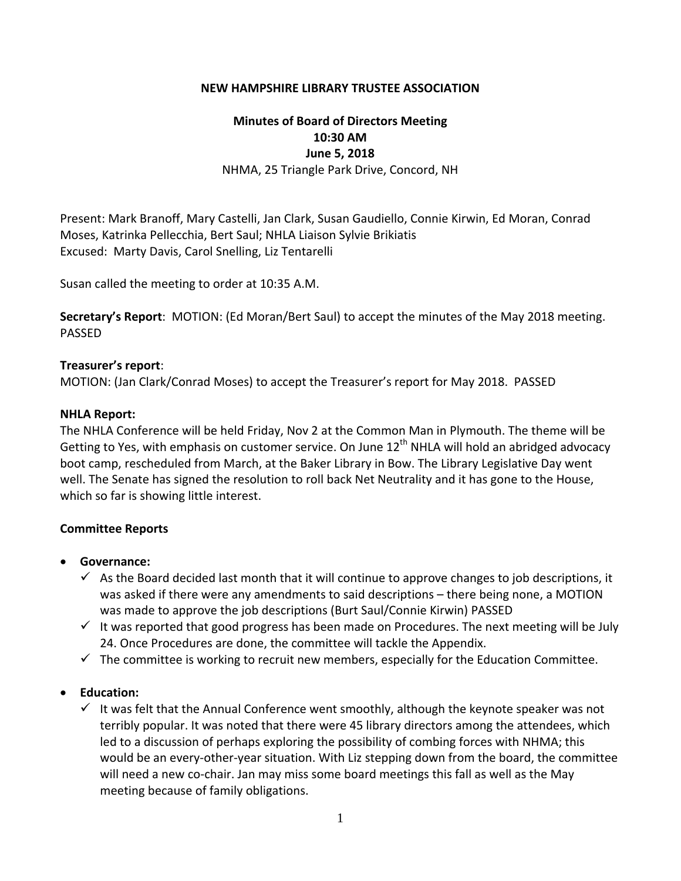### **NEW HAMPSHIRE LIBRARY TRUSTEE ASSOCIATION**

# **Minutes of Board of Directors Meeting 10:30 AM June 5, 2018**

NHMA, 25 Triangle Park Drive, Concord, NH

Present: Mark Branoff, Mary Castelli, Jan Clark, Susan Gaudiello, Connie Kirwin, Ed Moran, Conrad Moses, Katrinka Pellecchia, Bert Saul; NHLA Liaison Sylvie Brikiatis Excused: Marty Davis, Carol Snelling, Liz Tentarelli

Susan called the meeting to order at 10:35 A.M.

**Secretary's Report**: MOTION: (Ed Moran/Bert Saul) to accept the minutes of the May 2018 meeting. PASSED

#### **Treasurer's report**:

MOTION: (Jan Clark/Conrad Moses) to accept the Treasurer's report for May 2018. PASSED

#### **NHLA Report:**

The NHLA Conference will be held Friday, Nov 2 at the Common Man in Plymouth. The theme will be Getting to Yes, with emphasis on customer service. On June  $12<sup>th</sup>$  NHLA will hold an abridged advocacy boot camp, rescheduled from March, at the Baker Library in Bow. The Library Legislative Day went well. The Senate has signed the resolution to roll back Net Neutrality and it has gone to the House, which so far is showing little interest.

### **Committee Reports**

- **Governance:**
	- $\checkmark$  As the Board decided last month that it will continue to approve changes to job descriptions, it was asked if there were any amendments to said descriptions – there being none, a MOTION was made to approve the job descriptions (Burt Saul/Connie Kirwin) PASSED
	- $\checkmark$  It was reported that good progress has been made on Procedures. The next meeting will be July 24. Once Procedures are done, the committee will tackle the Appendix.
	- $\checkmark$  The committee is working to recruit new members, especially for the Education Committee.

### **Education:**

 $\checkmark$  It was felt that the Annual Conference went smoothly, although the keynote speaker was not terribly popular. It was noted that there were 45 library directors among the attendees, which led to a discussion of perhaps exploring the possibility of combing forces with NHMA; this would be an every-other-year situation. With Liz stepping down from the board, the committee will need a new co-chair. Jan may miss some board meetings this fall as well as the May meeting because of family obligations.